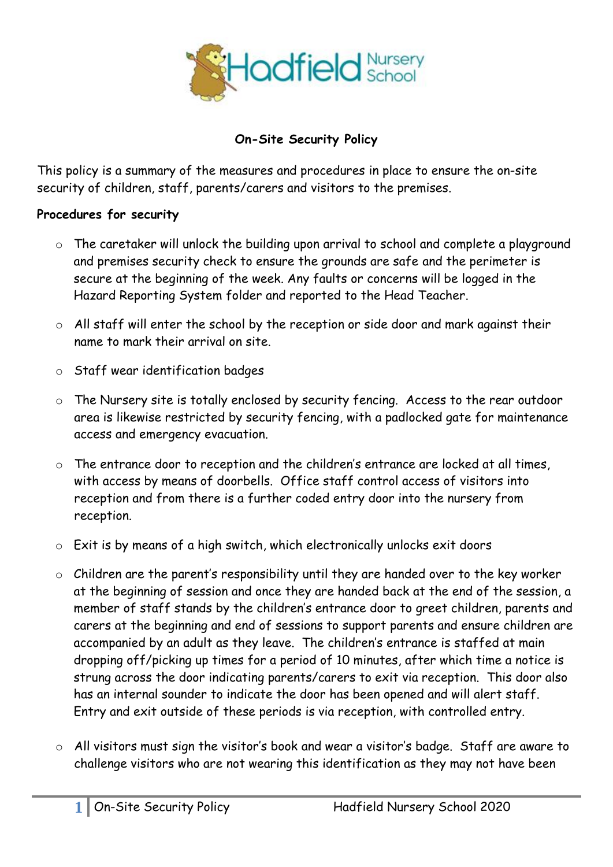

## **On-Site Security Policy**

This policy is a summary of the measures and procedures in place to ensure the on-site security of children, staff, parents/carers and visitors to the premises.

## **Procedures for security**

- o The caretaker will unlock the building upon arrival to school and complete a playground and premises security check to ensure the grounds are safe and the perimeter is secure at the beginning of the week. Any faults or concerns will be logged in the Hazard Reporting System folder and reported to the Head Teacher.
- o All staff will enter the school by the reception or side door and mark against their name to mark their arrival on site.
- o Staff wear identification badges
- o The Nursery site is totally enclosed by security fencing. Access to the rear outdoor area is likewise restricted by security fencing, with a padlocked gate for maintenance access and emergency evacuation.
- The entrance door to reception and the children's entrance are locked at all times, with access by means of doorbells. Office staff control access of visitors into reception and from there is a further coded entry door into the nursery from reception.
- o Exit is by means of a high switch, which electronically unlocks exit doors
- o Children are the parent's responsibility until they are handed over to the key worker at the beginning of session and once they are handed back at the end of the session, a member of staff stands by the children's entrance door to greet children, parents and carers at the beginning and end of sessions to support parents and ensure children are accompanied by an adult as they leave. The children's entrance is staffed at main dropping off/picking up times for a period of 10 minutes, after which time a notice is strung across the door indicating parents/carers to exit via reception. This door also has an internal sounder to indicate the door has been opened and will alert staff. Entry and exit outside of these periods is via reception, with controlled entry.
- o All visitors must sign the visitor's book and wear a visitor's badge. Staff are aware to challenge visitors who are not wearing this identification as they may not have been